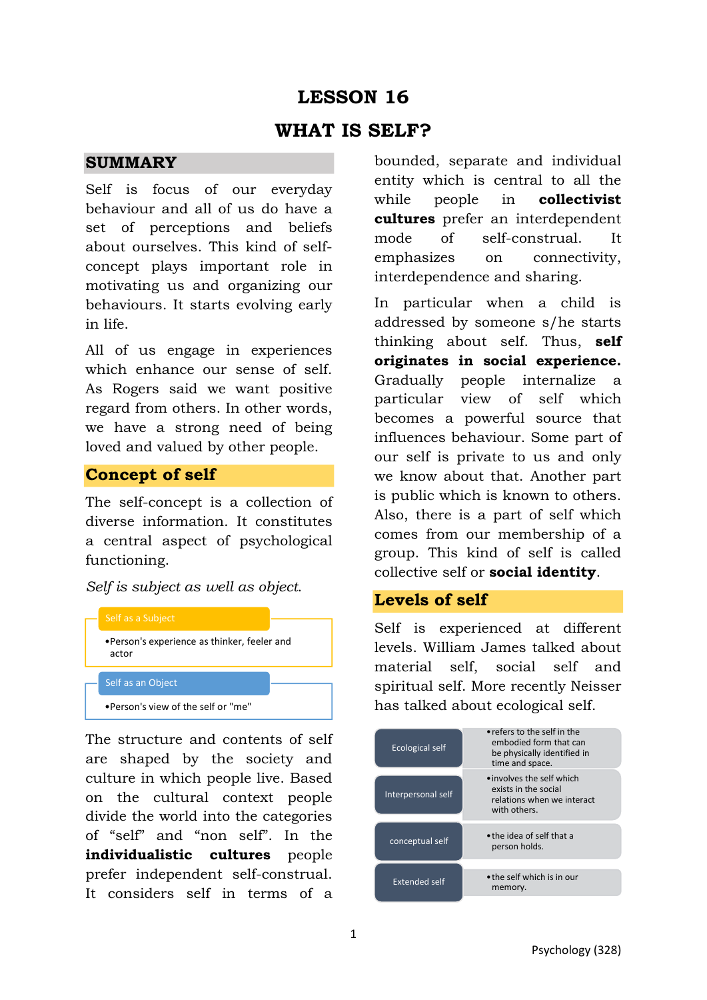# **LESSON 16 WHAT IS SELF?**

#### **SUMMARY**

Self is focus of our everyday behaviour and all of us do have a set of perceptions and beliefs about ourselves. This kind of selfconcept plays important role in motivating us and organizing our behaviours. It starts evolving early in life.

All of us engage in experiences which enhance our sense of self. As Rogers said we want positive regard from others. In other words, we have a strong need of being loved and valued by other people.

#### **Concept of self**

The self-concept is a collection of diverse information. It constitutes a central aspect of psychological functioning.

*Self is subject as well as object*.



The structure and contents of self are shaped by the society and culture in which people live. Based on the cultural context people divide the world into the categories of "self" and "non self". In the **individualistic cultures** people prefer independent self-construal. It considers self in terms of a bounded, separate and individual entity which is central to all the while people in **collectivist cultures** prefer an interdependent mode of self-construal. It emphasizes on connectivity, interdependence and sharing.

In particular when a child is addressed by someone s/he starts thinking about self. Thus, **self originates in social experience.** Gradually people internalize a particular view of self which becomes a powerful source that influences behaviour. Some part of our self is private to us and only we know about that. Another part is public which is known to others. Also, there is a part of self which comes from our membership of a group. This kind of self is called collective self or **social identity**.

#### **Levels of self**

Self is experienced at different levels. William James talked about material self, social self and spiritual self. More recently Neisser has talked about ecological self.

| • refers to the self in the<br>embodied form that can<br>be physically identified in<br>time and space. |
|---------------------------------------------------------------------------------------------------------|
| • involves the self which<br>exists in the social<br>relations when we interact<br>with others.         |
| • the idea of self that a<br>person holds.                                                              |
| • the self which is in our<br>memory.                                                                   |
|                                                                                                         |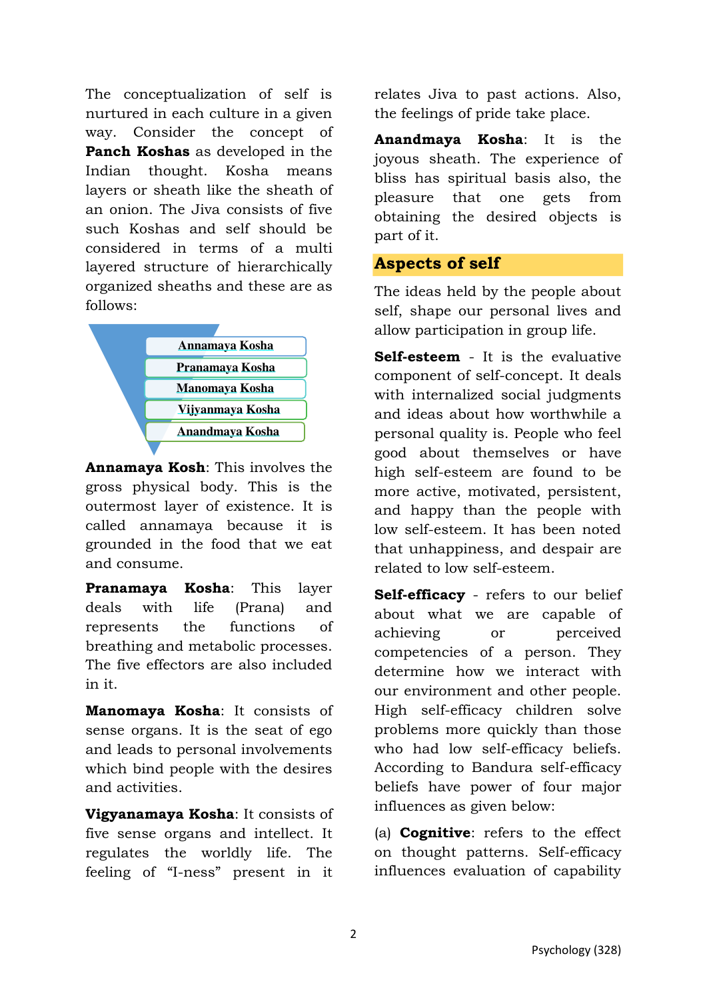The conceptualization of self is nurtured in each culture in a given way. Consider the concept of **Panch Koshas** as developed in the Indian thought. Kosha means layers or sheath like the sheath of an onion. The Jiva consists of five such Koshas and self should be considered in terms of a multi layered structure of hierarchically organized sheaths and these are as follows:



**Annamaya Kosh**: This involves the gross physical body. This is the outermost layer of existence. It is called annamaya because it is grounded in the food that we eat and consume.

**Pranamaya Kosha**: This layer deals with life (Prana) and represents the functions of breathing and metabolic processes. The five effectors are also included in it.

**Manomaya Kosha**: It consists of sense organs. It is the seat of ego and leads to personal involvements which bind people with the desires and activities.

**Vigyanamaya Kosha**: It consists of five sense organs and intellect. It regulates the worldly life. The feeling of "I-ness" present in it

relates Jiva to past actions. Also, the feelings of pride take place.

**Anandmaya Kosha**: It is the joyous sheath. The experience of bliss has spiritual basis also, the pleasure that one gets from obtaining the desired objects is part of it.

#### **Aspects of self**

The ideas held by the people about self, shape our personal lives and allow participation in group life.

**Self-esteem** - It is the evaluative component of self-concept. It deals with internalized social judgments and ideas about how worthwhile a personal quality is. People who feel good about themselves or have high self-esteem are found to be more active, motivated, persistent, and happy than the people with low self-esteem. It has been noted that unhappiness, and despair are related to low self-esteem.

**Self-efficacy** - refers to our belief about what we are capable of achieving or perceived competencies of a person. They determine how we interact with our environment and other people. High self-efficacy children solve problems more quickly than those who had low self-efficacy beliefs. According to Bandura self-efficacy beliefs have power of four major influences as given below:

(a) **Cognitive**: refers to the effect on thought patterns. Self-efficacy influences evaluation of capability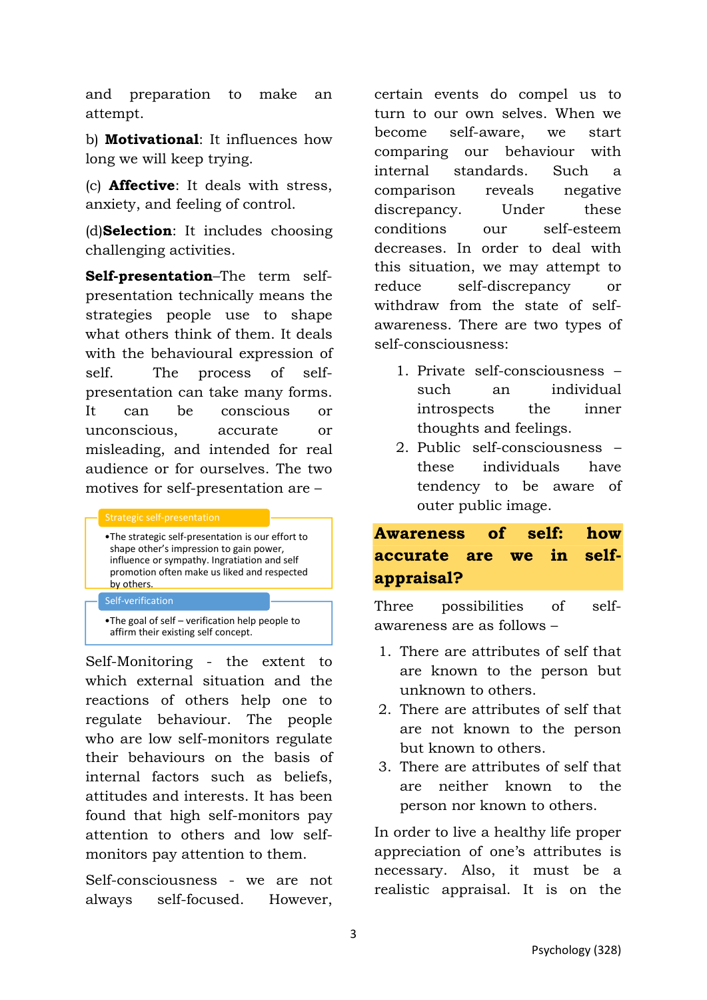and preparation to make an attempt.

b) **Motivational**: It influences how long we will keep trying.

(c) **Affective**: It deals with stress, anxiety, and feeling of control.

(d)**Selection**: It includes choosing challenging activities.

**Self-presentation**–The term selfpresentation technically means the strategies people use to shape what others think of them. It deals with the behavioural expression of self. The process of selfpresentation can take many forms. It can be conscious or unconscious, accurate or misleading, and intended for real audience or for ourselves. The two motives for self-presentation are –

- •The strategic self-presentation is our effort to shape other's impression to gain power, influence or sympathy. Ingratiation and self promotion often make us liked and respected by others.
- Self-verification

•The goal of self – verification help people to affirm their existing self concept.

Self-Monitoring - the extent to which external situation and the reactions of others help one to regulate behaviour. The people who are low self-monitors regulate their behaviours on the basis of internal factors such as beliefs, attitudes and interests. It has been found that high self-monitors pay attention to others and low selfmonitors pay attention to them.

Self-consciousness - we are not always self-focused. However,

certain events do compel us to turn to our own selves. When we become self-aware, we start comparing our behaviour with internal standards. Such a comparison reveals negative discrepancy. Under these conditions our self-esteem decreases. In order to deal with this situation, we may attempt to reduce self-discrepancy or withdraw from the state of selfawareness. There are two types of self-consciousness:

- 1. Private self-consciousness such an individual introspects the inner thoughts and feelings.
- 2. Public self-consciousness these individuals have tendency to be aware of outer public image.

# **Awareness of self: how accurate are we in selfappraisal?**

Three possibilities of selfawareness are as follows –

- 1. There are attributes of self that are known to the person but unknown to others.
- 2. There are attributes of self that are not known to the person but known to others.
- 3. There are attributes of self that are neither known to the person nor known to others.

In order to live a healthy life proper appreciation of one's attributes is necessary. Also, it must be a realistic appraisal. It is on the